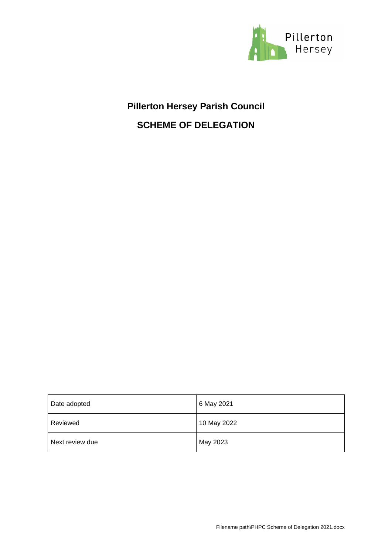

# **Pillerton Hersey Parish Council SCHEME OF DELEGATION**

| Date adopted    | 6 May 2021  |
|-----------------|-------------|
| Reviewed        | 10 May 2022 |
| Next review due | May 2023    |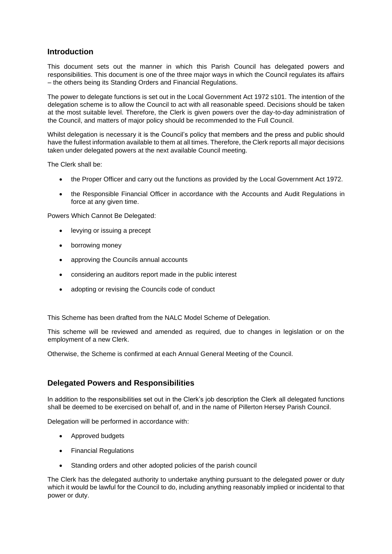### **Introduction**

This document sets out the manner in which this Parish Council has delegated powers and responsibilities. This document is one of the three major ways in which the Council regulates its affairs – the others being its Standing Orders and Financial Regulations.

The power to delegate functions is set out in the Local Government Act 1972 s101. The intention of the delegation scheme is to allow the Council to act with all reasonable speed. Decisions should be taken at the most suitable level. Therefore, the Clerk is given powers over the day-to-day administration of the Council, and matters of major policy should be recommended to the Full Council.

Whilst delegation is necessary it is the Council's policy that members and the press and public should have the fullest information available to them at all times. Therefore, the Clerk reports all major decisions taken under delegated powers at the next available Council meeting.

The Clerk shall be:

- the Proper Officer and carry out the functions as provided by the Local Government Act 1972.
- the Responsible Financial Officer in accordance with the Accounts and Audit Regulations in force at any given time.

Powers Which Cannot Be Delegated:

- levying or issuing a precept
- borrowing money
- approving the Councils annual accounts
- considering an auditors report made in the public interest
- adopting or revising the Councils code of conduct

This Scheme has been drafted from the NALC Model Scheme of Delegation.

This scheme will be reviewed and amended as required, due to changes in legislation or on the employment of a new Clerk.

Otherwise, the Scheme is confirmed at each Annual General Meeting of the Council.

### **Delegated Powers and Responsibilities**

In addition to the responsibilities set out in the Clerk's job description the Clerk all delegated functions shall be deemed to be exercised on behalf of, and in the name of Pillerton Hersey Parish Council.

Delegation will be performed in accordance with:

- Approved budgets
- Financial Regulations
- Standing orders and other adopted policies of the parish council

The Clerk has the delegated authority to undertake anything pursuant to the delegated power or duty which it would be lawful for the Council to do, including anything reasonably implied or incidental to that power or duty.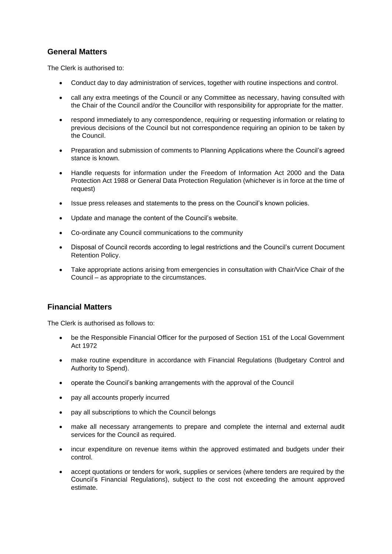# **General Matters**

The Clerk is authorised to:

- Conduct day to day administration of services, together with routine inspections and control.
- call any extra meetings of the Council or any Committee as necessary, having consulted with the Chair of the Council and/or the Councillor with responsibility for appropriate for the matter.
- respond immediately to any correspondence, requiring or requesting information or relating to previous decisions of the Council but not correspondence requiring an opinion to be taken by the Council.
- Preparation and submission of comments to Planning Applications where the Council's agreed stance is known.
- Handle requests for information under the Freedom of Information Act 2000 and the Data Protection Act 1988 or General Data Protection Regulation (whichever is in force at the time of request)
- Issue press releases and statements to the press on the Council's known policies.
- Update and manage the content of the Council's website.
- Co-ordinate any Council communications to the community
- Disposal of Council records according to legal restrictions and the Council's current Document Retention Policy.
- Take appropriate actions arising from emergencies in consultation with Chair/Vice Chair of the Council – as appropriate to the circumstances.

# **Financial Matters**

The Clerk is authorised as follows to:

- be the Responsible Financial Officer for the purposed of Section 151 of the Local Government Act 1972
- make routine expenditure in accordance with Financial Regulations (Budgetary Control and Authority to Spend).
- operate the Council's banking arrangements with the approval of the Council
- pay all accounts properly incurred
- pay all subscriptions to which the Council belongs
- make all necessary arrangements to prepare and complete the internal and external audit services for the Council as required.
- incur expenditure on revenue items within the approved estimated and budgets under their control.
- accept quotations or tenders for work, supplies or services (where tenders are required by the Council's Financial Regulations), subject to the cost not exceeding the amount approved estimate.